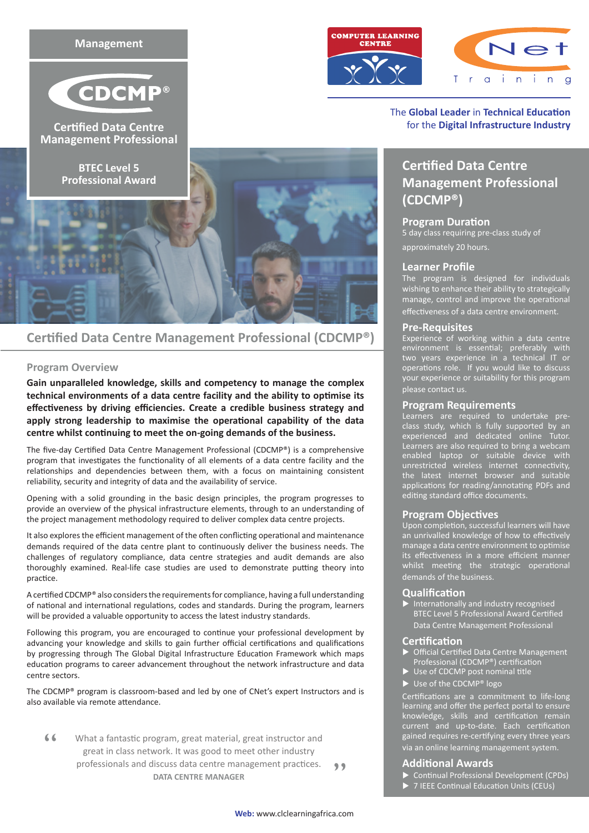

## **Certified Data Centre Management Professional (CDCMP®)**

### **Program Overview**

**Gain unparalleled knowledge, skills and competency to manage the complex technical environments of a data centre facility and the ability to optimise its effectiveness by driving efficiencies. Create a credible business strategy and apply strong leadership to maximise the operational capability of the data centre whilst continuing to meet the on-going demands of the business.**

The five-day Certified Data Centre Management Professional (CDCMP®) is a comprehensive program that investigates the functionality of all elements of a data centre facility and the relationships and dependencies between them, with a focus on maintaining consistent reliability, security and integrity of data and the availability of service.

Opening with a solid grounding in the basic design principles, the program progresses to provide an overview of the physical infrastructure elements, through to an understanding of the project management methodology required to deliver complex data centre projects.

It also explores the efficient management of the often conflicting operational and maintenance demands required of the data centre plant to continuously deliver the business needs. The challenges of regulatory compliance, data centre strategies and audit demands are also thoroughly examined. Real-life case studies are used to demonstrate putting theory into practice.

A certified CDCMP® also considers the requirements for compliance, having a full understanding of national and international regulations, codes and standards. During the program, learners will be provided a valuable opportunity to access the latest industry standards.

Following this program, you are encouraged to continue your professional development by advancing your knowledge and skills to gain further official certifications and qualifications by progressing through The Global Digital Infrastructure Education Framework which maps education programs to career advancement throughout the network infrastructure and data centre sectors.

The CDCMP® program is classroom-based and led by one of CNet's expert Instructors and is also available via remote attendance.

What a fantastic program, great material, great instructor and great in class network. It was good to meet other industry professionals and discuss data centre management practices. **DATA CENTRE MANAGER**  $\leq$ "





### The **Global Leader** in **Technical Education** for the **Digital Infrastructure Industry**

# **Certified Data Centre Management Professional (CDCMP®)**

### **Program Duration**

5 day class requiring pre-class study of approximately 20 hours.

### **Learner Profile**

The program is designed for individuals wishing to enhance their ability to strategically manage, control and improve the operational effectiveness of a data centre environment.

### **Pre-Requisites**

Experience of working within a data centre environment is essential; preferably with two years experience in a technical IT or operations role. If you would like to discuss your experience or suitability for this program please contact us.

### **Program Requirements**

Learners are required to undertake preclass study, which is fully supported by an experienced and dedicated online Tutor. Learners are also required to bring a webcam enabled laptop or suitable device with unrestricted wireless internet connectivity, the latest internet browser and suitable applications for reading/annotating PDFs and editing standard office documents.

### **Program Objectives**

Upon completion, successful learners will have an unrivalled knowledge of how to effectively manage a data centre environment to optimise its effectiveness in a more efficient manner whilst meeting the strategic operational demands of the business.

### **Qualification**

 $\blacktriangleright$  Internationally and industry recognised BTEC Level 5 Professional Award Certified Data Centre Management Professional

### **Certification**

- Official Certified Data Centre Management Professional (CDCMP®) certification
- Use of CDCMP post nominal title
- $\blacktriangleright$  Use of the CDCMP® logo

Certifications are a commitment to life-long learning and offer the perfect portal to ensure knowledge, skills and certification remain current and up-to-date. Each certification gained requires re-certifying every three years via an online learning management system.

### **Additional Awards**

- Continual Professional Development (CPDs)
- 7 IEEE Continual Education Units (CEUs)